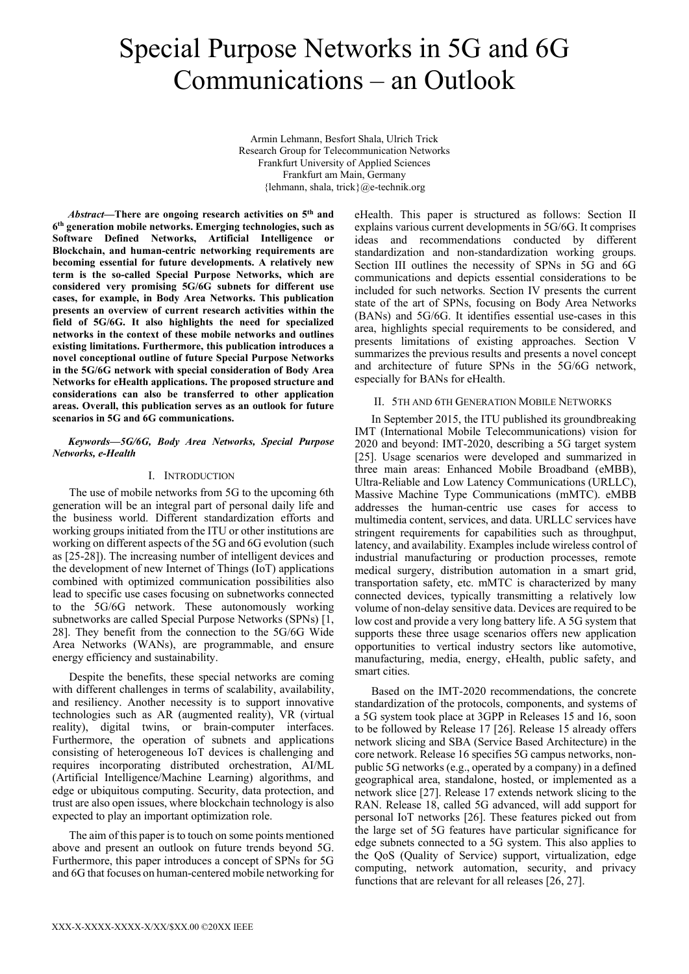# Special Purpose Networks in 5G and 6G Communications – an Outlook

Armin Lehmann, Besfort Shala, Ulrich Trick Research Group for Telecommunication Networks Frankfurt University of Applied Sciences Frankfurt am Main, Germany {lehmann, shala, trick}@e-technik.org

*Abstract***—There are ongoing research activities on 5th and 6th generation mobile networks. Emerging technologies, such as Software Defined Networks, Artificial Intelligence or Blockchain, and human-centric networking requirements are becoming essential for future developments. A relatively new term is the so-called Special Purpose Networks, which are considered very promising 5G/6G subnets for different use cases, for example, in Body Area Networks. This publication presents an overview of current research activities within the field of 5G/6G. It also highlights the need for specialized networks in the context of these mobile networks and outlines existing limitations. Furthermore, this publication introduces a novel conceptional outline of future Special Purpose Networks in the 5G/6G network with special consideration of Body Area Networks for eHealth applications. The proposed structure and considerations can also be transferred to other application areas. Overall, this publication serves as an outlook for future scenarios in 5G and 6G communications.**

## *Keywords—5G/6G, Body Area Networks, Special Purpose Networks, e-Health*

# I. INTRODUCTION

The use of mobile networks from 5G to the upcoming 6th generation will be an integral part of personal daily life and the business world. Different standardization efforts and working groups initiated from the ITU or other institutions are working on different aspects of the 5G and 6G evolution (such as [25-28]). The increasing number of intelligent devices and the development of new Internet of Things (IoT) applications combined with optimized communication possibilities also lead to specific use cases focusing on subnetworks connected to the 5G/6G network. These autonomously working subnetworks are called Special Purpose Networks (SPNs) [1, 28]. They benefit from the connection to the 5G/6G Wide Area Networks (WANs), are programmable, and ensure energy efficiency and sustainability.

Despite the benefits, these special networks are coming with different challenges in terms of scalability, availability, and resiliency. Another necessity is to support innovative technologies such as AR (augmented reality), VR (virtual reality), digital twins, or brain-computer interfaces. Furthermore, the operation of subnets and applications consisting of heterogeneous IoT devices is challenging and requires incorporating distributed orchestration, AI/ML (Artificial Intelligence/Machine Learning) algorithms, and edge or ubiquitous computing. Security, data protection, and trust are also open issues, where blockchain technology is also expected to play an important optimization role.

The aim of this paper is to touch on some points mentioned above and present an outlook on future trends beyond 5G. Furthermore, this paper introduces a concept of SPNs for 5G and 6G that focuses on human-centered mobile networking for eHealth. This paper is structured as follows: Section II explains various current developments in 5G/6G. It comprises ideas and recommendations conducted by different standardization and non-standardization working groups. Section III outlines the necessity of SPNs in 5G and 6G communications and depicts essential considerations to be included for such networks. Section IV presents the current state of the art of SPNs, focusing on Body Area Networks (BANs) and 5G/6G. It identifies essential use-cases in this area, highlights special requirements to be considered, and presents limitations of existing approaches. Section V summarizes the previous results and presents a novel concept and architecture of future SPNs in the 5G/6G network, especially for BANs for eHealth.

# II. 5TH AND 6TH GENERATION MOBILE NETWORKS

In September 2015, the ITU published its groundbreaking IMT (International Mobile Telecommunications) vision for 2020 and beyond: IMT-2020, describing a 5G target system [25]. Usage scenarios were developed and summarized in three main areas: Enhanced Mobile Broadband (eMBB), Ultra-Reliable and Low Latency Communications (URLLC), Massive Machine Type Communications (mMTC). eMBB addresses the human-centric use cases for access to multimedia content, services, and data. URLLC services have stringent requirements for capabilities such as throughput, latency, and availability. Examples include wireless control of industrial manufacturing or production processes, remote medical surgery, distribution automation in a smart grid, transportation safety, etc. mMTC is characterized by many connected devices, typically transmitting a relatively low volume of non-delay sensitive data. Devices are required to be low cost and provide a very long battery life. A 5G system that supports these three usage scenarios offers new application opportunities to vertical industry sectors like automotive, manufacturing, media, energy, eHealth, public safety, and smart cities.

Based on the IMT-2020 recommendations, the concrete standardization of the protocols, components, and systems of a 5G system took place at 3GPP in Releases 15 and 16, soon to be followed by Release 17 [26]. Release 15 already offers network slicing and SBA (Service Based Architecture) in the core network. Release 16 specifies 5G campus networks, nonpublic 5G networks (e.g., operated by a company) in a defined geographical area, standalone, hosted, or implemented as a network slice [27]. Release 17 extends network slicing to the RAN. Release 18, called 5G advanced, will add support for personal IoT networks [26]. These features picked out from the large set of 5G features have particular significance for edge subnets connected to a 5G system. This also applies to the QoS (Quality of Service) support, virtualization, edge computing, network automation, security, and privacy functions that are relevant for all releases [26, 27].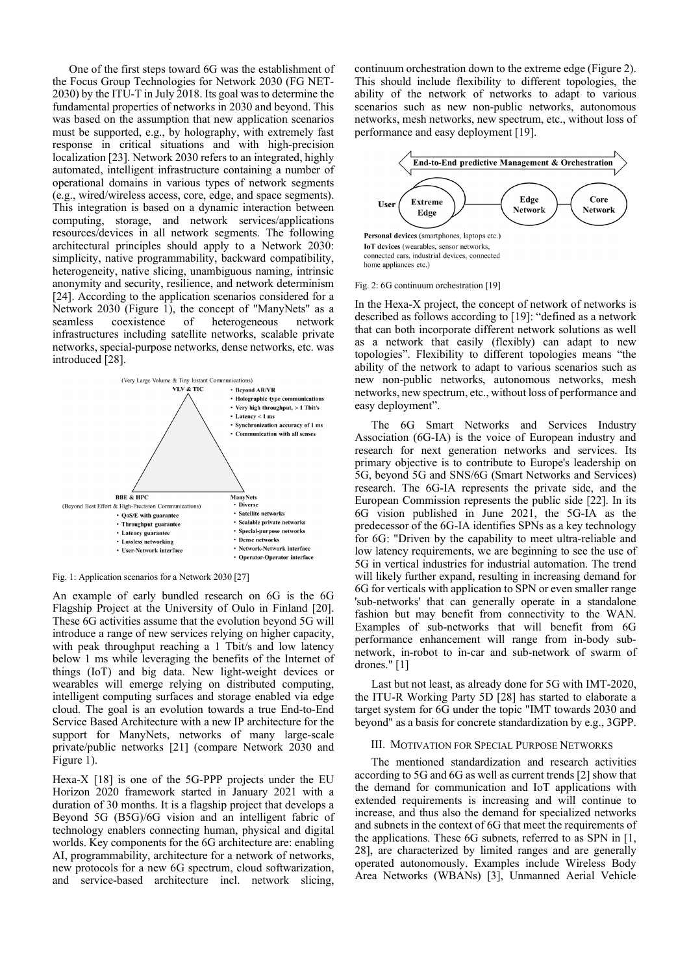One of the first steps toward 6G was the establishment of the Focus Group Technologies for Network 2030 (FG NET-2030) by the ITU-T in July 2018. Its goal was to determine the fundamental properties of networks in 2030 and beyond. This was based on the assumption that new application scenarios must be supported, e.g., by holography, with extremely fast response in critical situations and with high-precision localization [23]. Network 2030 refers to an integrated, highly automated, intelligent infrastructure containing a number of operational domains in various types of network segments (e.g., wired/wireless access, core, edge, and space segments). This integration is based on a dynamic interaction between computing, storage, and network services/applications resources/devices in all network segments. The following architectural principles should apply to a Network 2030: simplicity, native programmability, backward compatibility, heterogeneity, native slicing, unambiguous naming, intrinsic anonymity and security, resilience, and network determinism [24]. According to the application scenarios considered for a Network 2030 (Figure 1), the concept of "ManyNets" as a seamless coexistence of heterogeneous network infrastructures including satellite networks, scalable private networks, special-purpose networks, dense networks, etc. was introduced [28].



Fig. 1: Application scenarios for a Network 2030 [27]

An example of early bundled research on 6G is the 6G Flagship Project at the University of Oulo in Finland [20]. These 6G activities assume that the evolution beyond 5G will introduce a range of new services relying on higher capacity, with peak throughput reaching a 1 Tbit/s and low latency below 1 ms while leveraging the benefits of the Internet of things (IoT) and big data. New light-weight devices or wearables will emerge relying on distributed computing, intelligent computing surfaces and storage enabled via edge cloud. The goal is an evolution towards a true End-to-End Service Based Architecture with a new IP architecture for the support for ManyNets, networks of many large-scale private/public networks [21] (compare Network 2030 and Figure 1).

Hexa-X [18] is one of the 5G-PPP projects under the EU Horizon 2020 framework started in January 2021 with a duration of 30 months. It is a flagship project that develops a Beyond 5G (B5G)/6G vision and an intelligent fabric of technology enablers connecting human, physical and digital worlds. Key components for the 6G architecture are: enabling AI, programmability, architecture for a network of networks, new protocols for a new 6G spectrum, cloud softwarization, and service-based architecture incl. network slicing, continuum orchestration down to the extreme edge (Figure 2). This should include flexibility to different topologies, the ability of the network of networks to adapt to various scenarios such as new non-public networks, autonomous networks, mesh networks, new spectrum, etc., without loss of performance and easy deployment [19].



Fig. 2: 6G continuum orchestration [19]

In the Hexa-X project, the concept of network of networks is described as follows according to [19]: "defined as a network that can both incorporate different network solutions as well as a network that easily (flexibly) can adapt to new topologies". Flexibility to different topologies means "the ability of the network to adapt to various scenarios such as new non-public networks, autonomous networks, mesh networks, new spectrum, etc., without loss of performance and easy deployment".

The 6G Smart Networks and Services Industry Association (6G-IA) is the voice of European industry and research for next generation networks and services. Its primary objective is to contribute to Europe's leadership on 5G, beyond 5G and SNS/6G (Smart Networks and Services) research. The 6G-IA represents the private side, and the European Commission represents the public side [22]. In its 6G vision published in June 2021, the 5G-IA as the predecessor of the 6G-IA identifies SPNs as a key technology for 6G: "Driven by the capability to meet ultra-reliable and low latency requirements, we are beginning to see the use of 5G in vertical industries for industrial automation. The trend will likely further expand, resulting in increasing demand for 6G for verticals with application to SPN or even smaller range 'sub-networks' that can generally operate in a standalone fashion but may benefit from connectivity to the WAN. Examples of sub-networks that will benefit from 6G performance enhancement will range from in-body subnetwork, in-robot to in-car and sub-network of swarm of drones." [1]

Last but not least, as already done for 5G with IMT-2020, the ITU-R Working Party 5D [28] has started to elaborate a target system for 6G under the topic "IMT towards 2030 and beyond" as a basis for concrete standardization by e.g., 3GPP.

#### III. MOTIVATION FOR SPECIAL PURPOSE NETWORKS

The mentioned standardization and research activities according to 5G and 6G as well as current trends [2] show that the demand for communication and IoT applications with extended requirements is increasing and will continue to increase, and thus also the demand for specialized networks and subnets in the context of 6G that meet the requirements of the applications. These 6G subnets, referred to as SPN in [1, 28], are characterized by limited ranges and are generally operated autonomously. Examples include Wireless Body Area Networks (WBANs) [3], Unmanned Aerial Vehicle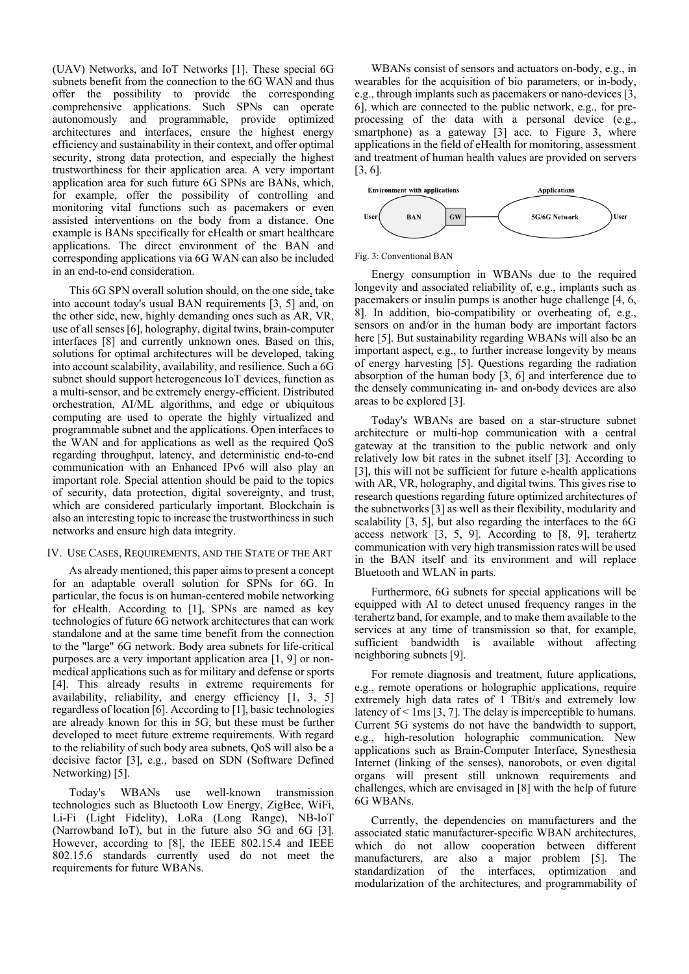(UAV) Networks, and IoT Networks [1]. These special 6G subnets benefit from the connection to the 6G WAN and thus offer the possibility to provide the corresponding comprehensive applications. Such SPNs can operate autonomously and programmable, provide optimized architectures and interfaces, ensure the highest energy efficiency and sustainability in their context, and offer optimal security, strong data protection, and especially the highest trustworthiness for their application area. A very important application area for such future 6G SPNs are BANs, which, for example, offer the possibility of controlling and monitoring vital functions such as pacemakers or even assisted interventions on the body from a distance. One example is BANs specifically for eHealth or smart healthcare applications. The direct environment of the BAN and corresponding applications via 6G WAN can also be included in an end-to-end consideration.

This 6G SPN overall solution should, on the one side, take into account today's usual BAN requirements [3, 5] and, on the other side, new, highly demanding ones such as AR, VR, use of all senses [6], holography, digital twins, brain-computer interfaces [8] and currently unknown ones. Based on this, solutions for optimal architectures will be developed, taking into account scalability, availability, and resilience. Such a 6G subnet should support heterogeneous IoT devices, function as a multi-sensor, and be extremely energy-efficient. Distributed orchestration, AI/ML algorithms, and edge or ubiquitous computing are used to operate the highly virtualized and programmable subnet and the applications. Open interfaces to the WAN and for applications as well as the required QoS regarding throughput, latency, and deterministic end-to-end communication with an Enhanced IPv6 will also play an important role. Special attention should be paid to the topics of security, data protection, digital sovereignty, and trust, which are considered particularly important. Blockchain is also an interesting topic to increase the trustworthiness in such networks and ensure high data integrity.

### IV. USE CASES, REQUIREMENTS, AND THE STATE OF THE ART

As already mentioned, this paper aims to present a concept for an adaptable overall solution for SPNs for 6G. In particular, the focus is on human-centered mobile networking for eHealth. According to [1], SPNs are named as key technologies of future 6G network architectures that can work standalone and at the same time benefit from the connection to the "large" 6G network. Body area subnets for life-critical purposes are a very important application area [1, 9] or nonmedical applications such as for military and defense or sports [4]. This already results in extreme requirements for availability, reliability, and energy efficiency [1, 3, 5] regardless of location [6]. According to [1], basic technologies are already known for this in 5G, but these must be further developed to meet future extreme requirements. With regard to the reliability of such body area subnets, QoS will also be a decisive factor [3], e.g., based on SDN (Software Defined Networking) [5].

Today's WBANs use well-known transmission technologies such as Bluetooth Low Energy, ZigBee, WiFi, Li-Fi (Light Fidelity), LoRa (Long Range), NB-IoT (Narrowband IoT), but in the future also 5G and 6G [3]. However, according to [8], the IEEE 802.15.4 and IEEE 802.15.6 standards currently used do not meet the requirements for future WBANs.

WBANs consist of sensors and actuators on-body, e.g., in wearables for the acquisition of bio parameters, or in-body, e.g., through implants such as pacemakers or nano-devices [3, 6], which are connected to the public network, e.g., for preprocessing of the data with a personal device (e.g., smartphone) as a gateway [3] acc. to Figure 3, where applications in the field of eHealth for monitoring, assessment and treatment of human health values are provided on servers [3, 6].



#### Fig. 3: Conventional BAN

Energy consumption in WBANs due to the required longevity and associated reliability of, e.g., implants such as pacemakers or insulin pumps is another huge challenge [4, 6, 8]. In addition, bio-compatibility or overheating of, e.g., sensors on and/or in the human body are important factors here [5]. But sustainability regarding WBANs will also be an important aspect, e.g., to further increase longevity by means of energy harvesting [5]. Questions regarding the radiation absorption of the human body [3, 6] and interference due to the densely communicating in- and on-body devices are also areas to be explored [3].

Today's WBANs are based on a star-structure subnet architecture or multi-hop communication with a central gateway at the transition to the public network and only relatively low bit rates in the subnet itself [3]. According to [3], this will not be sufficient for future e-health applications with AR, VR, holography, and digital twins. This gives rise to research questions regarding future optimized architectures of the subnetworks [3] as well as their flexibility, modularity and scalability [3, 5], but also regarding the interfaces to the 6G access network [3, 5, 9]. According to [8, 9], terahertz communication with very high transmission rates will be used in the BAN itself and its environment and will replace Bluetooth and WLAN in parts.

Furthermore, 6G subnets for special applications will be equipped with AI to detect unused frequency ranges in the terahertz band, for example, and to make them available to the services at any time of transmission so that, for example, sufficient bandwidth is available without affecting neighboring subnets [9].

For remote diagnosis and treatment, future applications, e.g., remote operations or holographic applications, require extremely high data rates of 1 TBit/s and extremely low latency of < 1ms [3, 7]. The delay is imperceptible to humans. Current 5G systems do not have the bandwidth to support, e.g., high-resolution holographic communication. New applications such as Brain-Computer Interface, Synesthesia Internet (linking of the senses), nanorobots, or even digital organs will present still unknown requirements and challenges, which are envisaged in [8] with the help of future 6G WBANs.

Currently, the dependencies on manufacturers and the associated static manufacturer-specific WBAN architectures, which do not allow cooperation between different manufacturers, are also a major problem [5]. The standardization of the interfaces, optimization and modularization of the architectures, and programmability of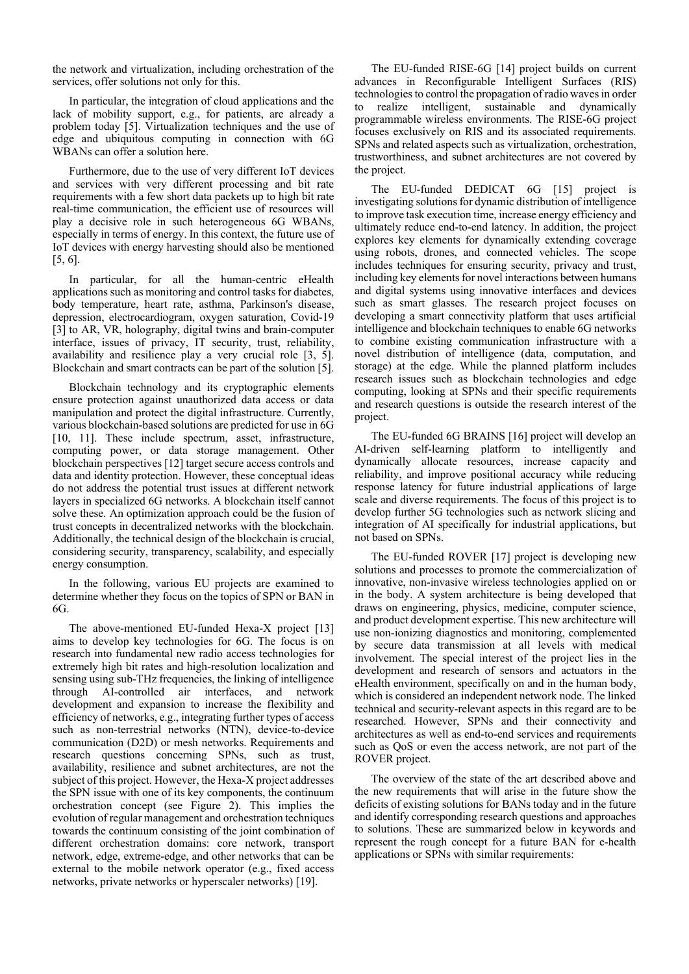the network and virtualization, including orchestration of the services, offer solutions not only for this.

In particular, the integration of cloud applications and the lack of mobility support, e.g., for patients, are already a problem today [5]. Virtualization techniques and the use of edge and ubiquitous computing in connection with 6G WBANs can offer a solution here.

Furthermore, due to the use of very different IoT devices and services with very different processing and bit rate requirements with a few short data packets up to high bit rate real-time communication, the efficient use of resources will play a decisive role in such heterogeneous 6G WBANs, especially in terms of energy. In this context, the future use of IoT devices with energy harvesting should also be mentioned [5, 6].

In particular, for all the human-centric eHealth applications such as monitoring and control tasks for diabetes, body temperature, heart rate, asthma, Parkinson's disease, depression, electrocardiogram, oxygen saturation, Covid-19 [3] to AR, VR, holography, digital twins and brain-computer interface, issues of privacy, IT security, trust, reliability, availability and resilience play a very crucial role [3, 5]. Blockchain and smart contracts can be part of the solution [5].

Blockchain technology and its cryptographic elements ensure protection against unauthorized data access or data manipulation and protect the digital infrastructure. Currently, various blockchain-based solutions are predicted for use in 6G [10, 11]. These include spectrum, asset, infrastructure, computing power, or data storage management. Other blockchain perspectives [12] target secure access controls and data and identity protection. However, these conceptual ideas do not address the potential trust issues at different network layers in specialized 6G networks. A blockchain itself cannot solve these. An optimization approach could be the fusion of trust concepts in decentralized networks with the blockchain. Additionally, the technical design of the blockchain is crucial, considering security, transparency, scalability, and especially energy consumption.

In the following, various EU projects are examined to determine whether they focus on the topics of SPN or BAN in 6G.

The above-mentioned EU-funded Hexa-X project [13] aims to develop key technologies for 6G. The focus is on research into fundamental new radio access technologies for extremely high bit rates and high-resolution localization and sensing using sub-THz frequencies, the linking of intelligence through AI-controlled air interfaces, and network development and expansion to increase the flexibility and efficiency of networks, e.g., integrating further types of access such as non-terrestrial networks (NTN), device-to-device communication (D2D) or mesh networks. Requirements and research questions concerning SPNs, such as trust, availability, resilience and subnet architectures, are not the subject of this project. However, the Hexa-X project addresses the SPN issue with one of its key components, the continuum orchestration concept (see Figure 2). This implies the evolution of regular management and orchestration techniques towards the continuum consisting of the joint combination of different orchestration domains: core network, transport network, edge, extreme-edge, and other networks that can be external to the mobile network operator (e.g., fixed access networks, private networks or hyperscaler networks) [19].

The EU-funded RISE-6G [14] project builds on current advances in Reconfigurable Intelligent Surfaces (RIS) technologies to control the propagation of radio waves in order to realize intelligent, sustainable and dynamically programmable wireless environments. The RISE-6G project focuses exclusively on RIS and its associated requirements. SPNs and related aspects such as virtualization, orchestration, trustworthiness, and subnet architectures are not covered by the project.

The EU-funded DEDICAT 6G [15] project is investigating solutions for dynamic distribution of intelligence to improve task execution time, increase energy efficiency and ultimately reduce end-to-end latency. In addition, the project explores key elements for dynamically extending coverage using robots, drones, and connected vehicles. The scope includes techniques for ensuring security, privacy and trust, including key elements for novel interactions between humans and digital systems using innovative interfaces and devices such as smart glasses. The research project focuses on developing a smart connectivity platform that uses artificial intelligence and blockchain techniques to enable 6G networks to combine existing communication infrastructure with a novel distribution of intelligence (data, computation, and storage) at the edge. While the planned platform includes research issues such as blockchain technologies and edge computing, looking at SPNs and their specific requirements and research questions is outside the research interest of the project.

The EU-funded 6G BRAINS [16] project will develop an AI-driven self-learning platform to intelligently and dynamically allocate resources, increase capacity and reliability, and improve positional accuracy while reducing response latency for future industrial applications of large scale and diverse requirements. The focus of this project is to develop further 5G technologies such as network slicing and integration of AI specifically for industrial applications, but not based on SPNs.

The EU-funded ROVER [17] project is developing new solutions and processes to promote the commercialization of innovative, non-invasive wireless technologies applied on or in the body. A system architecture is being developed that draws on engineering, physics, medicine, computer science, and product development expertise. This new architecture will use non-ionizing diagnostics and monitoring, complemented by secure data transmission at all levels with medical involvement. The special interest of the project lies in the development and research of sensors and actuators in the eHealth environment, specifically on and in the human body, which is considered an independent network node. The linked technical and security-relevant aspects in this regard are to be researched. However, SPNs and their connectivity and architectures as well as end-to-end services and requirements such as QoS or even the access network, are not part of the ROVER project.

The overview of the state of the art described above and the new requirements that will arise in the future show the deficits of existing solutions for BANs today and in the future and identify corresponding research questions and approaches to solutions. These are summarized below in keywords and represent the rough concept for a future BAN for e-health applications or SPNs with similar requirements: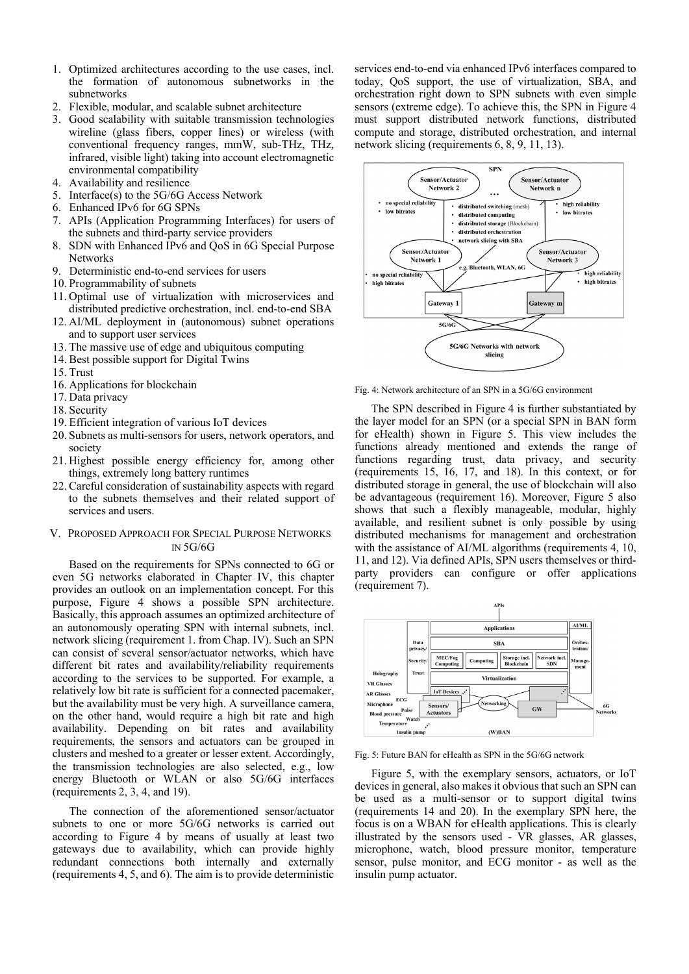- 1. Optimized architectures according to the use cases, incl. the formation of autonomous subnetworks in the subnetworks
- 2. Flexible, modular, and scalable subnet architecture
- 3. Good scalability with suitable transmission technologies wireline (glass fibers, copper lines) or wireless (with conventional frequency ranges, mmW, sub-THz, THz, infrared, visible light) taking into account electromagnetic environmental compatibility
- 4. Availability and resilience
- 5. Interface(s) to the 5G/6G Access Network
- 6. Enhanced IPv6 for 6G SPNs
- 7. APIs (Application Programming Interfaces) for users of the subnets and third-party service providers
- 8. SDN with Enhanced IPv6 and QoS in 6G Special Purpose **Networks**
- 9. Deterministic end-to-end services for users
- 10. Programmability of subnets
- 11. Optimal use of virtualization with microservices and distributed predictive orchestration, incl. end-to-end SBA
- 12. AI/ML deployment in (autonomous) subnet operations and to support user services
- 13. The massive use of edge and ubiquitous computing
- 14. Best possible support for Digital Twins
- 15. Trust
- 16. Applications for blockchain
- 17. Data privacy
- 18. Security
- 19. Efficient integration of various IoT devices
- 20. Subnets as multi-sensors for users, network operators, and society
- 21. Highest possible energy efficiency for, among other things, extremely long battery runtimes
- 22. Careful consideration of sustainability aspects with regard to the subnets themselves and their related support of services and users.

### V. PROPOSED APPROACH FOR SPECIAL PURPOSE NETWORKS IN 5G/6G

Based on the requirements for SPNs connected to 6G or even 5G networks elaborated in Chapter IV, this chapter provides an outlook on an implementation concept. For this purpose, Figure 4 shows a possible SPN architecture. Basically, this approach assumes an optimized architecture of an autonomously operating SPN with internal subnets, incl. network slicing (requirement 1. from Chap. IV). Such an SPN can consist of several sensor/actuator networks, which have different bit rates and availability/reliability requirements according to the services to be supported. For example, a relatively low bit rate is sufficient for a connected pacemaker, but the availability must be very high. A surveillance camera, on the other hand, would require a high bit rate and high availability. Depending on bit rates and availability requirements, the sensors and actuators can be grouped in clusters and meshed to a greater or lesser extent. Accordingly, the transmission technologies are also selected, e.g., low energy Bluetooth or WLAN or also 5G/6G interfaces (requirements 2, 3, 4, and 19).

The connection of the aforementioned sensor/actuator subnets to one or more 5G/6G networks is carried out according to Figure 4 by means of usually at least two gateways due to availability, which can provide highly redundant connections both internally and externally (requirements 4, 5, and 6). The aim is to provide deterministic

services end-to-end via enhanced IPv6 interfaces compared to today, QoS support, the use of virtualization, SBA, and orchestration right down to SPN subnets with even simple sensors (extreme edge). To achieve this, the SPN in Figure 4 must support distributed network functions, distributed compute and storage, distributed orchestration, and internal network slicing (requirements 6, 8, 9, 11, 13).



Fig. 4: Network architecture of an SPN in a 5G/6G environment

The SPN described in Figure 4 is further substantiated by the layer model for an SPN (or a special SPN in BAN form for eHealth) shown in Figure 5. This view includes the functions already mentioned and extends the range of functions regarding trust, data privacy, and security (requirements 15, 16, 17, and 18). In this context, or for distributed storage in general, the use of blockchain will also be advantageous (requirement 16). Moreover, Figure 5 also shows that such a flexibly manageable, modular, highly available, and resilient subnet is only possible by using distributed mechanisms for management and orchestration with the assistance of AI/ML algorithms (requirements 4, 10, 11, and 12). Via defined APIs, SPN users themselves or thirdparty providers can configure or offer applications (requirement 7).



Fig. 5: Future BAN for eHealth as SPN in the 5G/6G network

Figure 5, with the exemplary sensors, actuators, or IoT devices in general, also makes it obvious that such an SPN can be used as a multi-sensor or to support digital twins (requirements 14 and 20). In the exemplary SPN here, the focus is on a WBAN for eHealth applications. This is clearly illustrated by the sensors used - VR glasses, AR glasses, microphone, watch, blood pressure monitor, temperature sensor, pulse monitor, and ECG monitor - as well as the insulin pump actuator.